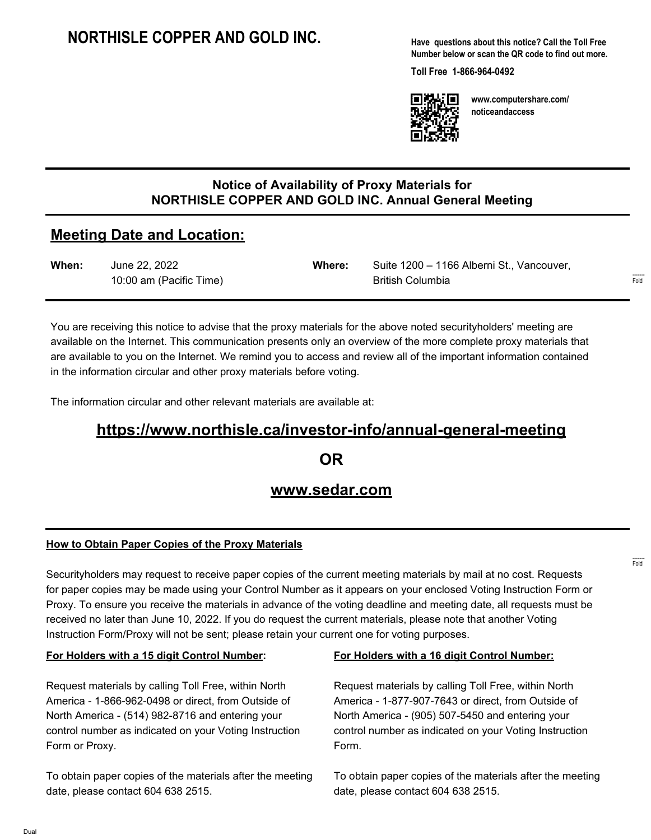## **NORTHISLE COPPER AND GOLD INC.**

**Have questions about this notice? Call the Toll Free Number below or scan the QR code to find out more.**

**Toll Free 1-866-964-0492**



**www.computershare.com/ noticeandaccess**

### **Notice of Availability of Proxy Materials for NORTHISLE COPPER AND GOLD INC. Annual General Meeting**

### **Meeting Date and Location:**

| When: | June 22, 2022           | Where: | Suite 1200 - 1166 Alberni St., Vancouver, |
|-------|-------------------------|--------|-------------------------------------------|
|       | 10:00 am (Pacific Time) |        | British Columbia                          |

You are receiving this notice to advise that the proxy materials for the above noted securityholders' meeting are available on the Internet. This communication presents only an overview of the more complete proxy materials that are available to you on the Internet. We remind you to access and review all of the important information contained in the information circular and other proxy materials before voting.

The information circular and other relevant materials are available at:

# **https://www.northisle.ca/investor-info/annual-general-meeting**

**OR**

## **www.sedar.com**

#### **How to Obtain Paper Copies of the Proxy Materials**

Securityholders may request to receive paper copies of the current meeting materials by mail at no cost. Requests for paper copies may be made using your Control Number as it appears on your enclosed Voting Instruction Form or Proxy. To ensure you receive the materials in advance of the voting deadline and meeting date, all requests must be received no later than June 10, 2022. If you do request the current materials, please note that another Voting Instruction Form/Proxy will not be sent; please retain your current one for voting purposes.

#### **For Holders with a 15 digit Control Number:**

Request materials by calling Toll Free, within North America - 1-866-962-0498 or direct, from Outside of North America - (514) 982-8716 and entering your control number as indicated on your Voting Instruction Form or Proxy.

To obtain paper copies of the materials after the meeting date, please contact 604 638 2515.

#### **For Holders with a 16 digit Control Number:**

Request materials by calling Toll Free, within North America - 1-877-907-7643 or direct, from Outside of North America - (905) 507-5450 and entering your control number as indicated on your Voting Instruction Form.

To obtain paper copies of the materials after the meeting date, please contact 604 638 2515.

------- Fold